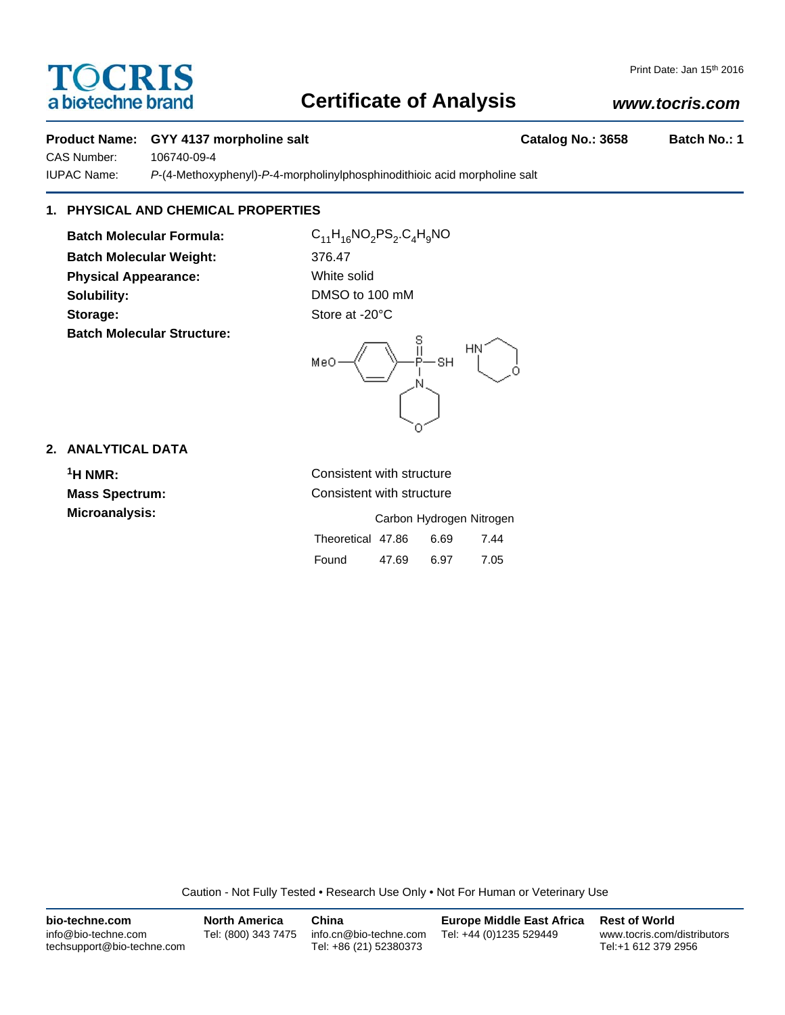# TOCRIS a biotechne brand

## Print Date: Jan 15th 2016

## **Certificate of Analysis**

## *www.tocris.com*

## **Product Name: GYY 4137 morpholine salt Catalog No.: 3658 Batch No.: 1**

CAS Number: 106740-09-4

IUPAC Name: *P*-(4-Methoxyphenyl)-*P*-4-morpholinylphosphinodithioic acid morpholine salt

## **1. PHYSICAL AND CHEMICAL PROPERTIES**

**Batch Molecular Formula:** C<sub>11</sub>H<sub>16</sub>NO<sub>2</sub>PS<sub>2</sub>.C<sub>4</sub>H<sub>9</sub>NO **Batch Molecular Weight:** 376.47 **Physical Appearance:** White solid **Solubility:** DMSO to 100 mM Storage: Store at -20°C **Batch Molecular Structure:**



## **2. ANALYTICAL DATA**

**1H NMR:** Consistent with structure **Mass Spectrum:** Consistent with structure **Microanalysis:** Microanalysis: **Carbon Hydrogen Nitrogen** Theoretical 47.86 6.69 7.44 Found 47.69 6.97 7.05

Caution - Not Fully Tested • Research Use Only • Not For Human or Veterinary Use

| bio-techne.com                                    | <b>North America</b> | China                                            | <b>Europe Middle East Africa</b> | <b>Rest of World</b>                               |
|---------------------------------------------------|----------------------|--------------------------------------------------|----------------------------------|----------------------------------------------------|
| info@bio-techne.com<br>techsupport@bio-techne.com | Tel: (800) 343 7475  | info.cn@bio-techne.com<br>Tel: +86 (21) 52380373 | Tel: +44 (0)1235 529449          | www.tocris.com/distributors<br>Tel:+1 612 379 2956 |